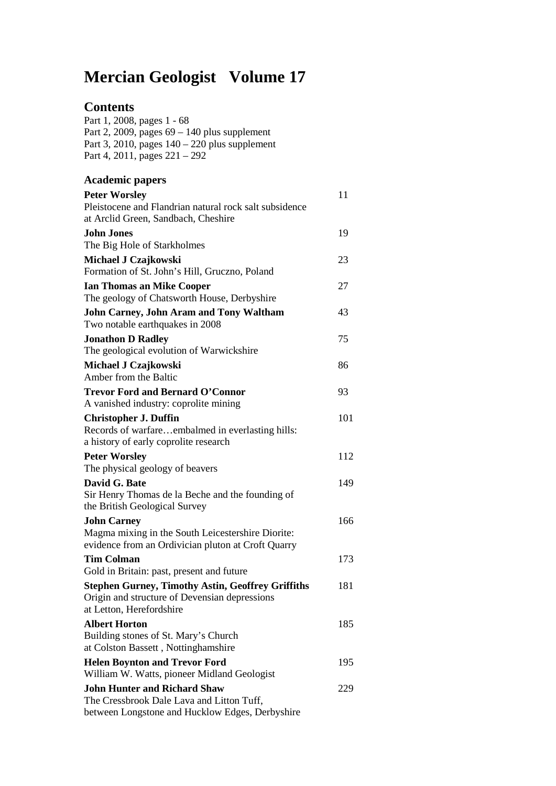# **Mercian Geologist Volume 17**

#### **Contents**

Part 1, 2008, pages 1 - 68 Part 2, 2009, pages 69 – 140 plus supplement Part 3, 2010, pages 140 – 220 plus supplement Part 4, 2011, pages 221 – 292

| <b>Academic papers</b>                                                                                                                |     |
|---------------------------------------------------------------------------------------------------------------------------------------|-----|
| <b>Peter Worsley</b><br>Pleistocene and Flandrian natural rock salt subsidence                                                        | 11  |
| at Arclid Green, Sandbach, Cheshire                                                                                                   |     |
| John Jones<br>The Big Hole of Starkholmes                                                                                             | 19  |
| Michael J Czajkowski<br>Formation of St. John's Hill, Gruczno, Poland                                                                 | 23  |
| <b>Ian Thomas an Mike Cooper</b>                                                                                                      | 27  |
| The geology of Chatsworth House, Derbyshire                                                                                           |     |
| <b>John Carney, John Aram and Tony Waltham</b><br>Two notable earthquakes in 2008                                                     | 43  |
| <b>Jonathon D Radley</b>                                                                                                              | 75  |
| The geological evolution of Warwickshire                                                                                              |     |
| Michael J Czajkowski<br>Amber from the Baltic                                                                                         | 86  |
| <b>Trevor Ford and Bernard O'Connor</b>                                                                                               | 93  |
| A vanished industry: coprolite mining                                                                                                 |     |
| <b>Christopher J. Duffin</b><br>Records of warfareembalmed in everlasting hills:<br>a history of early coprolite research             | 101 |
| <b>Peter Worsley</b>                                                                                                                  | 112 |
| The physical geology of beavers                                                                                                       |     |
| David G. Bate<br>Sir Henry Thomas de la Beche and the founding of<br>the British Geological Survey                                    | 149 |
| <b>John Carney</b>                                                                                                                    | 166 |
| Magma mixing in the South Leicestershire Diorite:<br>evidence from an Ordivician pluton at Croft Quarry                               |     |
| <b>Tim Colman</b>                                                                                                                     | 173 |
| Gold in Britain: past, present and future                                                                                             |     |
| <b>Stephen Gurney, Timothy Astin, Geoffrey Griffiths</b><br>Origin and structure of Devensian depressions<br>at Letton, Herefordshire | 181 |
| <b>Albert Horton</b>                                                                                                                  | 185 |
| Building stones of St. Mary's Church<br>at Colston Bassett, Nottinghamshire                                                           |     |
| <b>Helen Boynton and Trevor Ford</b><br>William W. Watts, pioneer Midland Geologist                                                   | 195 |
| <b>John Hunter and Richard Shaw</b><br>The Cressbrook Dale Lava and Litton Tuff,<br>between Longstone and Hucklow Edges, Derbyshire   | 229 |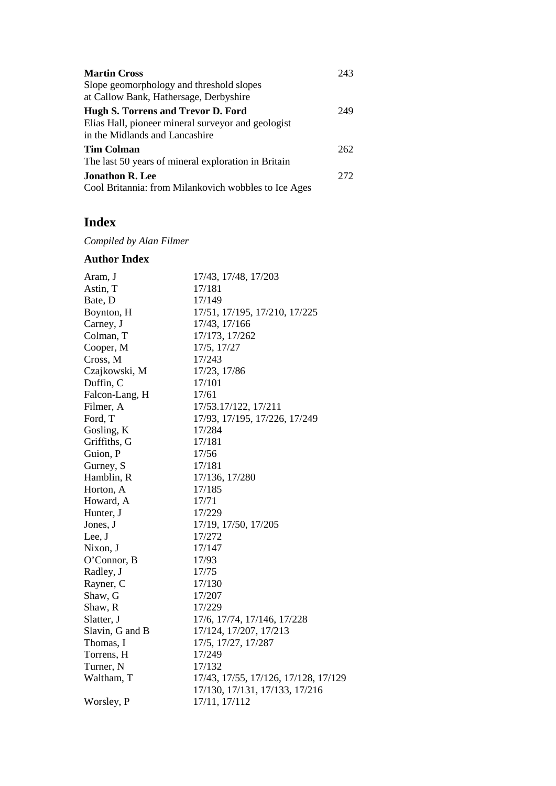| <b>Martin Cross</b><br>Slope geomorphology and threshold slopes<br>at Callow Bank, Hathersage, Derbyshire                  | 243 |
|----------------------------------------------------------------------------------------------------------------------------|-----|
| Hugh S. Torrens and Trevor D. Ford<br>Elias Hall, pioneer mineral surveyor and geologist<br>in the Midlands and Lancashire | 249 |
| Tim Colman<br>The last 50 years of mineral exploration in Britain                                                          | 262 |
| <b>Jonathon R. Lee</b><br>Cool Britannia: from Milankovich wobbles to Ice Ages                                             | 272 |

## **Index**

*Compiled by Alan Filmer*

#### **Author Index**

| Aram, J         | 17/43, 17/48, 17/203                 |
|-----------------|--------------------------------------|
| Astin, T        | 17/181                               |
| Bate, D         | 17/149                               |
| Boynton, H      | 17/51, 17/195, 17/210, 17/225        |
| Carney, J       | 17/43, 17/166                        |
| Colman, T       | 17/173, 17/262                       |
| Cooper, M       | 17/5, 17/27                          |
| Cross, M        | 17/243                               |
| Czajkowski, M   | 17/23, 17/86                         |
| Duffin, C       | 17/101                               |
| Falcon-Lang, H  | 17/61                                |
| Filmer, A       | 17/53.17/122, 17/211                 |
| Ford, T         | 17/93, 17/195, 17/226, 17/249        |
| Gosling, K      | 17/284                               |
| Griffiths, G    | 17/181                               |
| Guion, P        | 17/56                                |
| Gurney, S       | 17/181                               |
| Hamblin, R      | 17/136, 17/280                       |
| Horton, A       | 17/185                               |
| Howard, A       | 17/71                                |
| Hunter, J       | 17/229                               |
| Jones, J        | 17/19, 17/50, 17/205                 |
| Lee, J          | 17/272                               |
| Nixon, J        | 17/147                               |
| O'Connor, B     | 17/93                                |
| Radley, J       | 17/75                                |
| Rayner, C       | 17/130                               |
| Shaw, G         | 17/207                               |
| Shaw, R         | 17/229                               |
| Slatter, J      | 17/6, 17/74, 17/146, 17/228          |
| Slavin, G and B | 17/124, 17/207, 17/213               |
| Thomas, I       | 17/5, 17/27, 17/287                  |
| Torrens, H      | 17/249                               |
| Turner, N       | 17/132                               |
| Waltham, T      | 17/43, 17/55, 17/126, 17/128, 17/129 |
|                 | 17/130, 17/131, 17/133, 17/216       |
| Worsley, P      | 17/11, 17/112                        |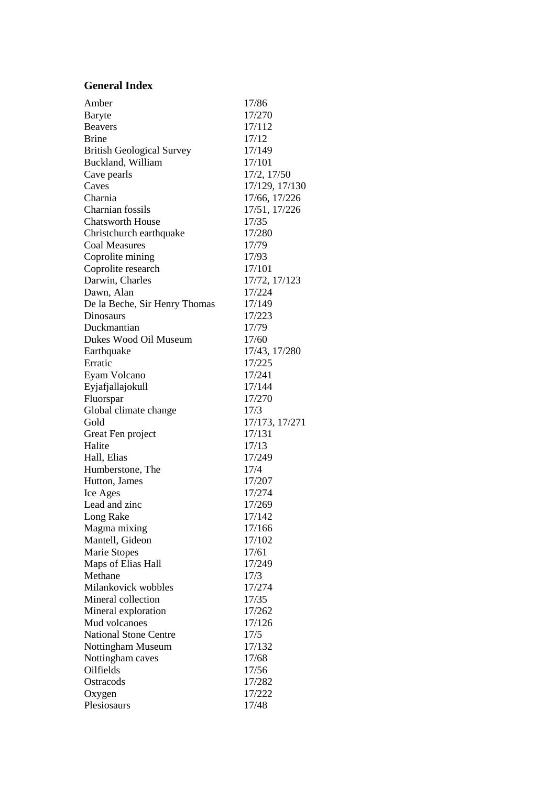#### **General Index**

| Amber                            | 17/86          |
|----------------------------------|----------------|
| Baryte                           | 17/270         |
| <b>Beavers</b>                   | 17/112         |
|                                  |                |
| <b>Brine</b>                     | 17/12          |
| <b>British Geological Survey</b> | 17/149         |
| Buckland, William                | 17/101         |
| Cave pearls                      | 17/2, 17/50    |
| Caves                            | 17/129, 17/130 |
| Charnia                          | 17/66, 17/226  |
| Charnian fossils                 | 17/51, 17/226  |
| <b>Chatsworth House</b>          | 17/35          |
| Christchurch earthquake          | 17/280         |
| <b>Coal Measures</b>             | 17/79          |
| Coprolite mining                 | 17/93          |
| Coprolite research               | 17/101         |
| Darwin, Charles                  | 17/72, 17/123  |
| Dawn, Alan                       | 17/224         |
| De la Beche, Sir Henry Thomas    | 17/149         |
| Dinosaurs                        | 17/223         |
| Duckmantian                      | 17/79          |
| Dukes Wood Oil Museum            | 17/60          |
| Earthquake                       | 17/43, 17/280  |
| Erratic                          | 17/225         |
| Eyam Volcano                     | 17/241         |
| Eyjafjallajokull                 | 17/144         |
| Fluorspar                        | 17/270         |
| Global climate change            | 17/3           |
| Gold                             | 17/173, 17/271 |
| Great Fen project                | 17/131         |
| Halite                           | 17/13          |
| Hall, Elias                      | 17/249         |
| Humberstone, The                 | 17/4           |
| Hutton, James                    | 17/207         |
| Ice Ages                         | 17/274         |
| Lead and zinc                    | 17/269         |
| Long Rake                        | 17/142         |
| Magma mixing                     | 17/166         |
| Mantell, Gideon                  | 17/102         |
| Marie Stopes                     | 17/61          |
| Maps of Elias Hall               | 17/249         |
| Methane                          | 17/3           |
| Milankovick wobbles              | 17/274         |
| Mineral collection               | 17/35          |
| Mineral exploration              | 17/262         |
| Mud volcanoes                    | 17/126         |
| <b>National Stone Centre</b>     | 17/5           |
|                                  | 17/132         |
| Nottingham Museum                |                |
| Nottingham caves                 | 17/68          |
| Oilfields                        | 17/56          |
| Ostracods                        | 17/282         |
| Oxygen                           | 17/222         |
| Plesiosaurs                      | 17/48          |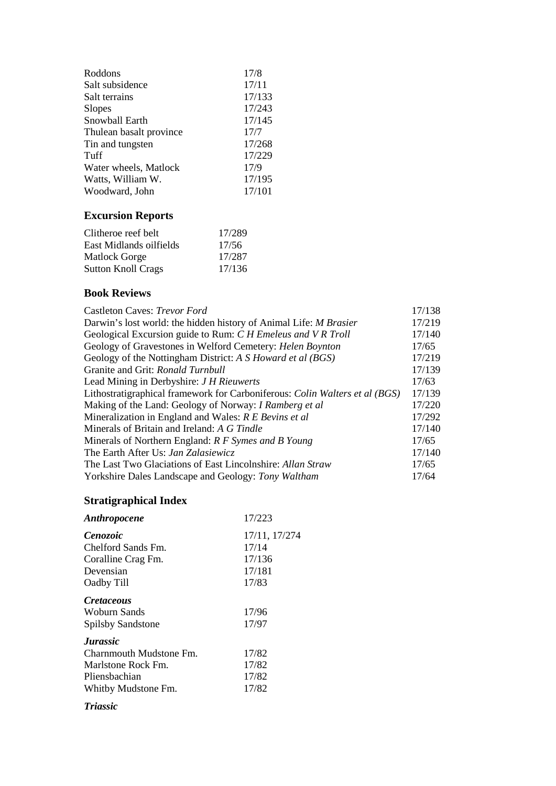| Roddons                 | 17/8   |
|-------------------------|--------|
| Salt subsidence         | 17/11  |
| Salt terrains           | 17/133 |
| <b>Slopes</b>           | 17/243 |
| Snowball Earth          | 17/145 |
| Thulean basalt province | 17/7   |
| Tin and tungsten        | 17/268 |
| Tuff                    | 17/229 |
| Water wheels, Matlock   | 17/9   |
| Watts, William W.       | 17/195 |
| Woodward, John          | 17/101 |
|                         |        |

## **Excursion Reports**

| Clitheroe reef belt       | 17/289 |
|---------------------------|--------|
| East Midlands oilfields   | 17/56  |
| <b>Matlock Gorge</b>      | 17/287 |
| <b>Sutton Knoll Crags</b> | 17/136 |

### **Book Reviews**

| 17/138 |
|--------|
| 17/219 |
| 17/140 |
| 17/65  |
| 17/219 |
| 17/139 |
| 17/63  |
| 17/139 |
| 17/220 |
| 17/292 |
| 17/140 |
| 17/65  |
| 17/140 |
| 17/65  |
| 17/64  |
|        |

## **Stratigraphical Index**

| <b>Anthropocene</b>      | 17/223        |
|--------------------------|---------------|
| <i>Cenozoic</i>          | 17/11, 17/274 |
| Chelford Sands Fm.       | 17/14         |
| Coralline Crag Fm.       | 17/136        |
| Devensian                | 17/181        |
| Oadby Till               | 17/83         |
| <i>Cretaceous</i>        |               |
| Woburn Sands             | 17/96         |
| <b>Spilsby Sandstone</b> | 17/97         |
| <b>Jurassic</b>          |               |
| Charnmouth Mudstone Fm.  | 17/82         |
| Marlstone Rock Fm.       | 17/82         |
| Pliensbachian            | 17/82         |
| Whitby Mudstone Fm.      | 17/82         |

#### *Triassic*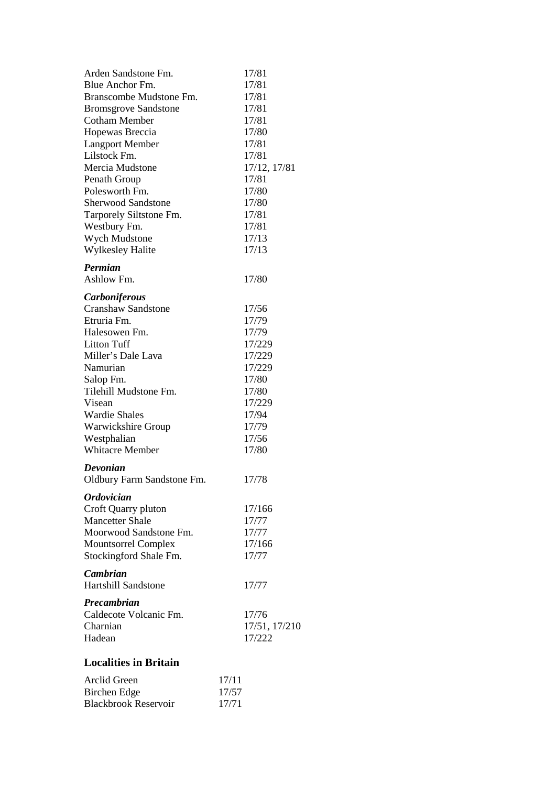| Arden Sandstone Fm.         | 17/81         |
|-----------------------------|---------------|
| Blue Anchor Fm.             | 17/81         |
| Branscombe Mudstone Fm.     | 17/81         |
| <b>Bromsgrove Sandstone</b> | 17/81         |
| <b>Cotham Member</b>        | 17/81         |
| Hopewas Breccia             | 17/80         |
| <b>Langport Member</b>      | 17/81         |
| Lilstock Fm.                | 17/81         |
| Mercia Mudstone             | 17/12, 17/81  |
| Penath Group                | 17/81         |
| Polesworth Fm.              | 17/80         |
| <b>Sherwood Sandstone</b>   | 17/80         |
| Tarporely Siltstone Fm.     | 17/81         |
| Westbury Fm.                | 17/81         |
| Wych Mudstone               | 17/13         |
| Wylkesley Halite            | 17/13         |
|                             |               |
| Permian                     |               |
| Ashlow Fm.                  | 17/80         |
| <b>Carboniferous</b>        |               |
| <b>Cranshaw Sandstone</b>   | 17/56         |
| Etruria Fm.                 | 17/79         |
| Halesowen Fm.               | 17/79         |
| <b>Litton Tuff</b>          | 17/229        |
| Miller's Dale Lava          | 17/229        |
| Namurian                    | 17/229        |
| Salop Fm.                   | 17/80         |
| Tilehill Mudstone Fm.       | 17/80         |
| Visean                      | 17/229        |
| <b>Wardie Shales</b>        | 17/94         |
| Warwickshire Group          | 17/79         |
| Westphalian                 | 17/56         |
| <b>Whitacre Member</b>      | 17/80         |
| Devonian                    |               |
| Oldbury Farm Sandstone Fm.  | 17/78         |
|                             |               |
| <b>Ordovician</b>           |               |
| Croft Quarry pluton         | 17/166        |
| <b>Mancetter Shale</b>      | 17/77         |
| Moorwood Sandstone Fm.      | 17/77         |
| <b>Mountsorrel Complex</b>  | 17/166        |
| Stockingford Shale Fm.      | 17/77         |
| <b>Cambrian</b>             |               |
| <b>Hartshill Sandstone</b>  | 17/77         |
|                             |               |
| <b>Precambrian</b>          |               |
| Caldecote Volcanic Fm.      | 17/76         |
| Charnian                    | 17/51, 17/210 |
| Hadean                      | 17/222        |
|                             |               |

#### **Localities in Britain**

| Arclid Green                | 17/11 |
|-----------------------------|-------|
| Birchen Edge                | 17/57 |
| <b>Blackbrook Reservoir</b> | 17/71 |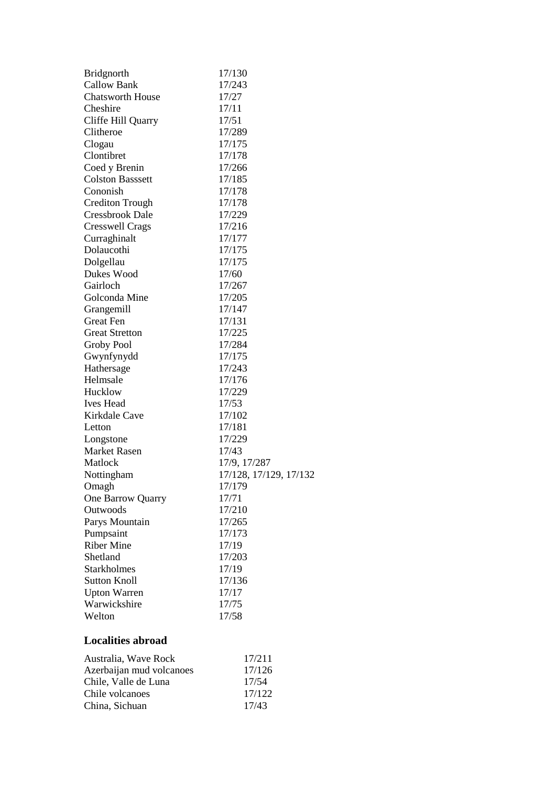| <b>Bridgnorth</b>        | 17/130                 |
|--------------------------|------------------------|
| <b>Callow Bank</b>       | 17/243                 |
| <b>Chatsworth House</b>  | 17/27                  |
| Cheshire                 | 17/11                  |
| Cliffe Hill Quarry       | 17/51                  |
| Clitheroe                | 17/289                 |
| Clogau                   | 17/175                 |
| Clontibret               | 17/178                 |
| Coed y Brenin            | 17/266                 |
| <b>Colston Basssett</b>  | 17/185                 |
| Cononish                 | 17/178                 |
| <b>Crediton Trough</b>   | 17/178                 |
| <b>Cressbrook Dale</b>   | 17/229                 |
| <b>Cresswell Crags</b>   | 17/216                 |
| Curraghinalt             | 17/177                 |
| Dolaucothi               | 17/175                 |
| Dolgellau                | 17/175                 |
| Dukes Wood               | 17/60                  |
| Gairloch                 | 17/267                 |
| Golconda Mine            | 17/205                 |
| Grangemill               | 17/147                 |
| <b>Great Fen</b>         | 17/131                 |
| <b>Great Stretton</b>    | 17/225                 |
| Groby Pool               | 17/284                 |
| Gwynfynydd               | 17/175                 |
| Hathersage               | 17/243                 |
| Helmsale                 | 17/176                 |
| Hucklow                  | 17/229                 |
| Ives Head                | 17/53                  |
| Kirkdale Cave            | 17/102                 |
| Letton                   | 17/181                 |
| Longstone                | 17/229                 |
| Market Rasen             | 17/43                  |
| Matlock                  | 17/9, 17/287           |
| Nottingham               | 17/128, 17/129, 17/132 |
| Omagh                    | 17/179                 |
| One Barrow Quarry        | 17/71                  |
| Outwoods                 | 17/210                 |
| Parys Mountain           | 17/265                 |
| Pumpsaint                | 17/173                 |
| <b>Riber Mine</b>        | 17/19                  |
| Shetland                 | 17/203                 |
| <b>Starkholmes</b>       | 17/19                  |
| <b>Sutton Knoll</b>      | 17/136                 |
| <b>Upton Warren</b>      | 17/17                  |
| Warwickshire             | 17/75                  |
| Welton                   | 17/58                  |
| <b>Localities abroad</b> |                        |
|                          |                        |

#### Australia, Wave Rock 17/211 Azerbaijan mud volcanoes 17/126 Chile, Valle de Luna 17/54 Chile volcanoes 17/122<br>China, Sichuan 17/43 China, Sichuan